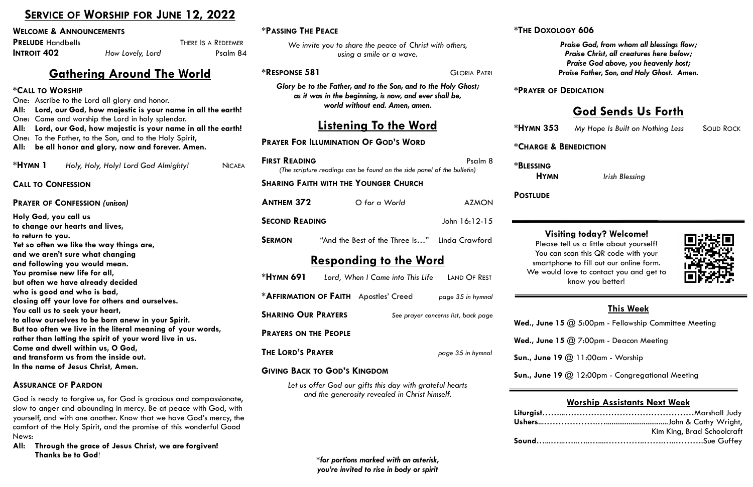**\*PASSING THE PEACE**

One: Ascribe to the Lord all glory and honor. **All: Lord, our God, how majestic is your name in all the earth!** One: Come and worship the Lord in holy splendor. **All: Lord, our God, how majestic is your name in all the earth!** One: To the Father, to the Son, and to the Holy Spirit, **All: be all honor and glory, now and forever. Amen. \*HYMN 1** *Holy, Holy, Holy! Lord God Almighty!* NICAE

> *\*for portions marked with an asterisk, you're invited to rise in body or spirit*

# **SERVICE OF WORSHIP FOR JUNE 12, 2022**

#### **WELCOME & ANNOUNCEMENTS**

| <b>PRELUDE Handbells</b> |                  | THERE IS A REDEEMER |
|--------------------------|------------------|---------------------|
| <b>INTROIT 402</b>       | How Lovely, Lord | Psalm 84            |

# **Gathering Around The World**

#### **\*CALL TO WORSHIP**

| <b>"PASSING THE PEACE</b>                                                                                                                                  |                                                                                                            |                                     | <b>THE DOXOLO</b>               |
|------------------------------------------------------------------------------------------------------------------------------------------------------------|------------------------------------------------------------------------------------------------------------|-------------------------------------|---------------------------------|
|                                                                                                                                                            | We invite you to share the peace of Christ with others,<br>using a smile or a wave.                        |                                     | $\mathbf{P}$                    |
| <b>*RESPONSE 581</b>                                                                                                                                       |                                                                                                            | <b>GLORIA PATRI</b>                 | Pr                              |
| Glory be to the Father, and to the Son, and to the Holy Ghost;<br>as it was in the beginning, is now, and ever shall be,<br>world without end. Amen, amen. |                                                                                                            |                                     | <b>*PRAYER OF D</b>             |
|                                                                                                                                                            | <b>Listening To the Word</b>                                                                               |                                     | <b>*HYMN 353</b>                |
| <b>PRAYER FOR ILLUMINATION OF GOD'S WORD</b>                                                                                                               |                                                                                                            |                                     | *CHARGE & BI                    |
| <b>FIRST READING</b><br>Psalm 8<br>(The scripture readings can be found on the side panel of the bulletin)                                                 |                                                                                                            |                                     | <b>*BLESSING</b><br><b>HYMN</b> |
|                                                                                                                                                            | <b>SHARING FAITH WITH THE YOUNGER CHURCH</b>                                                               |                                     |                                 |
| <b>ANTHEM 372</b>                                                                                                                                          | O for a World                                                                                              | <b>AZMON</b>                        | <b>POSTLUDE</b>                 |
| <b>SECOND READING</b>                                                                                                                                      |                                                                                                            | John 16:12-15                       |                                 |
| <b>SERMON</b>                                                                                                                                              | "And the Best of the Three Is" Linda Crawford                                                              |                                     | Visiti<br>Please te             |
|                                                                                                                                                            | <u>Responding to the Word</u>                                                                              |                                     | You can s<br>smartphor          |
| *HYMN 691                                                                                                                                                  | Lord, When I Came into This Life                                                                           | LAND OF REST                        | We would I                      |
|                                                                                                                                                            | *AFFIRMATION OF FAITH Apostles' Creed                                                                      | page 35 in hymnal                   |                                 |
| <b>SHARING OUR PRAYERS</b>                                                                                                                                 |                                                                                                            | See prayer concerns list, back page |                                 |
| <b>PRAYERS ON THE PEOPLE</b>                                                                                                                               |                                                                                                            |                                     | Wed., June 15                   |
| <b>THE LORD'S PRAYER</b>                                                                                                                                   |                                                                                                            | page 35 in hymnal                   | Wed., June 15<br>Sun., June 19  |
|                                                                                                                                                            | <b>GIVING BACK TO GOD'S KINGDOM</b>                                                                        |                                     |                                 |
|                                                                                                                                                            | Let us offer God our gifts this day with grateful hearts<br>and the generosity revealed in Christ himself. |                                     | Sun., June 19                   |
|                                                                                                                                                            |                                                                                                            |                                     | Liturgist<br>Ushers             |

- *<u>@</u> 7:00pm Deacon Meeting*
- **Sun., June 19** @ 11:00am Worship

**@ 12:00pm - Congregational Meeting** 

**CALL TO CONFESSION**

#### **PRAYER OF CONFESSION** *(unison)*

ell us a little about yourself! scan this QR code with your ne to fill out our online form. love to contact you and get to know you better!



**Holy God, you call us to change our hearts and lives, to return to you. Yet so often we like the way things are, and we aren't sure what changing and following you would mean. You promise new life for all, but often we have already decided who is good and who is bad, closing off your love for others and ourselves. You call us to seek your heart, to allow ourselves to be born anew in your Spirit. But too often we live in the literal meaning of your words, rather than letting the spirit of your word live in us. Come and dwell within us, O God, and transform us from the inside out. In the name of Jesus Christ, Amen.**

#### **ASSURANCE OF PARDON**

God is ready to forgive us, for God is gracious and compassionate, slow to anger and abounding in mercy. Be at peace with God, with yourself, and with one another. Know that we have God's mercy, the comfort of the Holy Spirit, and the promise of this wonderful Good News:

**All: Through the grace of Jesus Christ, we are forgiven! Thanks be to God**!

## **\*THE DOXOLOGY 606**

*Praise God, from whom all blessings flow; Praise Christ, all creatures here below; Praise God above, you heavenly host; Praise Father, Son, and Holy Ghost. Amen.*

### **\*PRAYER OF DEDICATION**

# **God Sends Us Forth**

*My Hope Is Built on Nothing Less* **SOLID ROCK** 

## $$

*<u>Irish Blessing</u>* 

## **This Week**

**@ 5:00pm - Fellowship Committee Meeting** 

## **Worship Assistants Next Week**

| Kim King, Brad Schoolcraft |
|----------------------------|
|                            |

## **Visiting today? Welcome!**